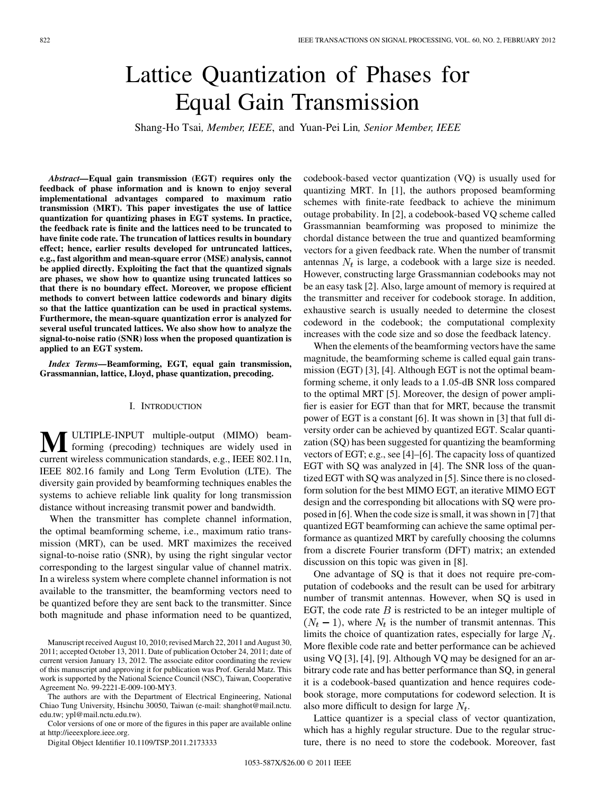# Lattice Quantization of Phases for Equal Gain Transmission

Shang-Ho Tsai*, Member, IEEE*, and Yuan-Pei Lin*, Senior Member, IEEE*

*Abstract—***Equal gain transmission (EGT) requires only the feedback of phase information and is known to enjoy several implementational advantages compared to maximum ratio transmission (MRT). This paper investigates the use of lattice quantization for quantizing phases in EGT systems. In practice, the feedback rate is finite and the lattices need to be truncated to have finite code rate. The truncation of lattices results in boundary effect; hence, earlier results developed for untruncated lattices, e.g., fast algorithm and mean-square error (MSE) analysis, cannot be applied directly. Exploiting the fact that the quantized signals are phases, we show how to quantize using truncated lattices so that there is no boundary effect. Moreover, we propose efficient methods to convert between lattice codewords and binary digits so that the lattice quantization can be used in practical systems. Furthermore, the mean-square quantization error is analyzed for several useful truncated lattices. We also show how to analyze the signal-to-noise ratio (SNR) loss when the proposed quantization is applied to an EGT system.**

*Index Terms—***Beamforming, EGT, equal gain transmission, Grassmannian, lattice, Lloyd, phase quantization, precoding.**

# I. INTRODUCTION

**M**ULTIPLE-INPUT multiple-output (MIMO) beam-<br>forming (precoding) techniques are widely used in<br>guirent wireless communication standards a.g. LEEE 802.11n current wireless communication standards, e.g., IEEE 802.11n, IEEE 802.16 family and Long Term Evolution (LTE). The diversity gain provided by beamforming techniques enables the systems to achieve reliable link quality for long transmission distance without increasing transmit power and bandwidth.

When the transmitter has complete channel information, the optimal beamforming scheme, i.e., maximum ratio transmission (MRT), can be used. MRT maximizes the received signal-to-noise ratio (SNR), by using the right singular vector corresponding to the largest singular value of channel matrix. In a wireless system where complete channel information is not available to the transmitter, the beamforming vectors need to be quantized before they are sent back to the transmitter. Since both magnitude and phase information need to be quantized,

The authors are with the Department of Electrical Engineering, National Chiao Tung University, Hsinchu 30050, Taiwan (e-mail: shanghot@mail.nctu. edu.tw; ypl@mail.nctu.edu.tw).

Color versions of one or more of the figures in this paper are available online at http://ieeexplore.ieee.org.

Digital Object Identifier 10.1109/TSP.2011.2173333

codebook-based vector quantization (VQ) is usually used for quantizing MRT. In [1], the authors proposed beamforming schemes with finite-rate feedback to achieve the minimum outage probability. In [2], a codebook-based VQ scheme called Grassmannian beamforming was proposed to minimize the chordal distance between the true and quantized beamforming vectors for a given feedback rate. When the number of transmit antennas  $N_t$  is large, a codebook with a large size is needed. However, constructing large Grassmannian codebooks may not be an easy task [2]. Also, large amount of memory is required at the transmitter and receiver for codebook storage. In addition, exhaustive search is usually needed to determine the closest codeword in the codebook; the computational complexity increases with the code size and so dose the feedback latency.

When the elements of the beamforming vectors have the same magnitude, the beamforming scheme is called equal gain transmission (EGT) [3], [4]. Although EGT is not the optimal beamforming scheme, it only leads to a 1.05-dB SNR loss compared to the optimal MRT [5]. Moreover, the design of power amplifier is easier for EGT than that for MRT, because the transmit power of EGT is a constant [6]. It was shown in [3] that full diversity order can be achieved by quantized EGT. Scalar quantization (SQ) has been suggested for quantizing the beamforming vectors of EGT; e.g., see [4]–[6]. The capacity loss of quantized EGT with SQ was analyzed in [4]. The SNR loss of the quantized EGT with SQ was analyzed in [5]. Since there is no closedform solution for the best MIMO EGT, an iterative MIMO EGT design and the corresponding bit allocations with SQ were proposed in [6]. When the code size is small, it was shown in [7] that quantized EGT beamforming can achieve the same optimal performance as quantized MRT by carefully choosing the columns from a discrete Fourier transform (DFT) matrix; an extended discussion on this topic was given in [8].

One advantage of SQ is that it does not require pre-computation of codebooks and the result can be used for arbitrary number of transmit antennas. However, when SQ is used in EGT, the code rate  $B$  is restricted to be an integer multiple of  $(N_t - 1)$ , where  $N_t$  is the number of transmit antennas. This limits the choice of quantization rates, especially for large  $N_t$ . More flexible code rate and better performance can be achieved using VQ [3], [4], [9]. Although VQ may be designed for an arbitrary code rate and has better performance than SQ, in general it is a codebook-based quantization and hence requires codebook storage, more computations for codeword selection. It is also more difficult to design for large  $N_t$ .

Lattice quantizer is a special class of vector quantization, which has a highly regular structure. Due to the regular structure, there is no need to store the codebook. Moreover, fast

Manuscript received August 10, 2010; revised March 22, 2011 and August 30, 2011; accepted October 13, 2011. Date of publication October 24, 2011; date of current version January 13, 2012. The associate editor coordinating the review of this manuscript and approving it for publication was Prof. Gerald Matz. This work is supported by the National Science Council (NSC), Taiwan, Cooperative Agreement No. 99-2221-E-009-100-MY3.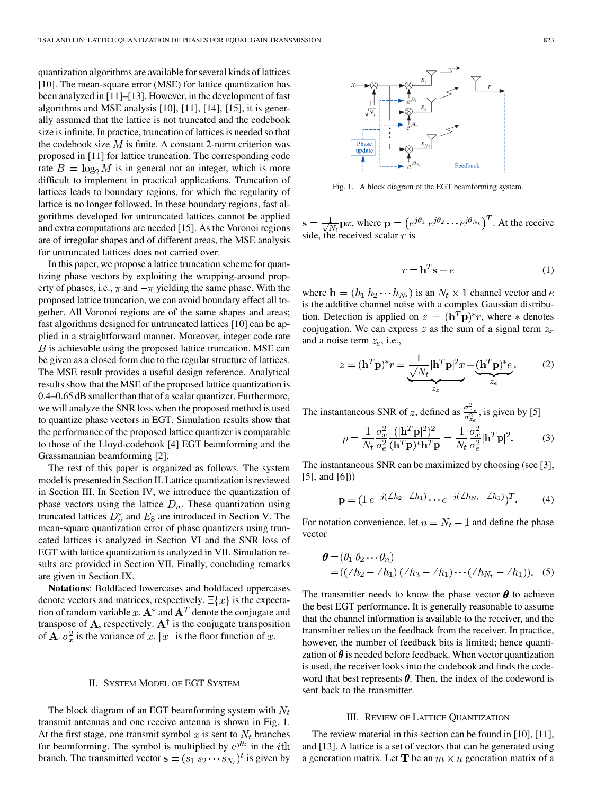quantization algorithms are available for several kinds of lattices [10]. The mean-square error (MSE) for lattice quantization has been analyzed in [11]–[13]. However, in the development of fast algorithms and MSE analysis [10], [11], [14], [15], it is generally assumed that the lattice is not truncated and the codebook size is infinite. In practice, truncation of lattices is needed so that the codebook size  $M$  is finite. A constant 2-norm criterion was proposed in [11] for lattice truncation. The corresponding code rate  $B = \log_2 M$  is in general not an integer, which is more difficult to implement in practical applications. Truncation of lattices leads to boundary regions, for which the regularity of lattice is no longer followed. In these boundary regions, fast algorithms developed for untruncated lattices cannot be applied and extra computations are needed [15]. As the Voronoi regions are of irregular shapes and of different areas, the MSE analysis for untruncated lattices does not carried over.

In this paper, we propose a lattice truncation scheme for quantizing phase vectors by exploiting the wrapping-around property of phases, i.e.,  $\pi$  and  $-\pi$  yielding the same phase. With the proposed lattice truncation, we can avoid boundary effect all together. All Voronoi regions are of the same shapes and areas; fast algorithms designed for untruncated lattices [10] can be applied in a straightforward manner. Moreover, integer code rate  $B$  is achievable using the proposed lattice truncation. MSE can be given as a closed form due to the regular structure of lattices. The MSE result provides a useful design reference. Analytical results show that the MSE of the proposed lattice quantization is 0.4–0.65 dB smaller than that of a scalar quantizer. Furthermore, we will analyze the SNR loss when the proposed method is used to quantize phase vectors in EGT. Simulation results show that the performance of the proposed lattice quantizer is comparable to those of the Lloyd-codebook [4] EGT beamforming and the Grassmannian beamforming [2].

The rest of this paper is organized as follows. The system model is presented in Section II. Lattice quantization is reviewed in Section III. In Section IV, we introduce the quantization of phase vectors using the lattice  $D_n$ . These quantization using truncated lattices  $D_n^*$  and  $E_8$  are introduced in Section V. The mean-square quantization error of phase quantizers using truncated lattices is analyzed in Section VI and the SNR loss of EGT with lattice quantization is analyzed in VII. Simulation results are provided in Section VII. Finally, concluding remarks are given in Section IX.

**Notations**: Boldfaced lowercases and boldfaced uppercases denote vectors and matrices, respectively.  $E\{x\}$  is the expectation of random variable x.  $A^*$  and  $A^T$  denote the conjugate and transpose of A, respectively.  $A^{\dagger}$  is the conjugate transposition of **A**.  $\sigma_x^2$  is the variance of x.  $\lfloor x \rfloor$  is the floor function of x.

## II. SYSTEM MODEL OF EGT SYSTEM

The block diagram of an EGT beamforming system with  $N_t$ transmit antennas and one receive antenna is shown in Fig. 1. At the first stage, one transmit symbol  $x$  is sent to  $N_t$  branches for beamforming. The symbol is multiplied by  $e^{j\theta_i}$  in the *i*th branch. The transmitted vector  $\mathbf{s} = (s_1 \ s_2 \cdots s_{N_t})^t$  is given by



Fig. 1. A block diagram of the EGT beamforming system.

, where  $\mathbf{p} = (e^{\jmath \theta_1} e^{\jmath \theta_2} \cdots e^{\jmath \theta_{N_t}})^T$ . At the receive side, the received scalar  $r$  is

$$
r = \mathbf{h}^T \mathbf{s} + e \tag{1}
$$

where  $\mathbf{h} = (h_1 h_2 \cdots h_{N_t})$  is an  $N_t \times 1$  channel vector and e is the additive channel noise with a complex Gaussian distribution. Detection is applied on  $z = (\mathbf{h}^T \mathbf{p})^* r$ , where  $*$  denotes conjugation. We can express z as the sum of a signal term  $z_x$ and a noise term  $z_e$ , i.e.,

$$
z = (\mathbf{h}^T \mathbf{p})^* r = \underbrace{\frac{1}{\sqrt{N_t}} |\mathbf{h}^T \mathbf{p}|^2 x}_{z_x} + \underbrace{(\mathbf{h}^T \mathbf{p})^* e}_{z_e}.
$$
 (2)

The instantaneous SNR of z, defined as  $\frac{\sigma_{zx}^2}{\sigma_{zz}^2}$ , is given by [5]

$$
\rho = \frac{1}{N_t} \frac{\sigma_x^2}{\sigma_e^2} \frac{(|\mathbf{h}^T \mathbf{p}|^2)^2}{(\mathbf{h}^T \mathbf{p})^* \mathbf{h}^T \mathbf{p}} = \frac{1}{N_t} \frac{\sigma_x^2}{\sigma_e^2} |\mathbf{h}^T \mathbf{p}|^2.
$$
 (3)

The instantaneous SNR can be maximized by choosing (see [3], [5], and [6]))

$$
\mathbf{p} = (1 \ e^{-j(\angle h_2 - \angle h_1)} \cdots e^{-j(\angle h_{N_t} - \angle h_1)})^T. \tag{4}
$$

For notation convenience, let  $n = N_t - 1$  and define the phase vector

$$
\boldsymbol{\theta} = (\theta_1 \ \theta_2 \cdots \theta_n)
$$
  
= ((\angle h\_2 - \angle h\_1) (\angle h\_3 - \angle h\_1) \cdots (\angle h\_{N\_t} - \angle h\_1)). (5)

The transmitter needs to know the phase vector  $\theta$  to achieve the best EGT performance. It is generally reasonable to assume that the channel information is available to the receiver, and the transmitter relies on the feedback from the receiver. In practice, however, the number of feedback bits is limited; hence quantization of  $\theta$  is needed before feedback. When vector quantization is used, the receiver looks into the codebook and finds the codeword that best represents  $\theta$ . Then, the index of the codeword is sent back to the transmitter.

# III. REVIEW OF LATTICE QUANTIZATION

The review material in this section can be found in [10], [11], and [13]. A lattice is a set of vectors that can be generated using a generation matrix. Let **T** be an  $m \times n$  generation matrix of a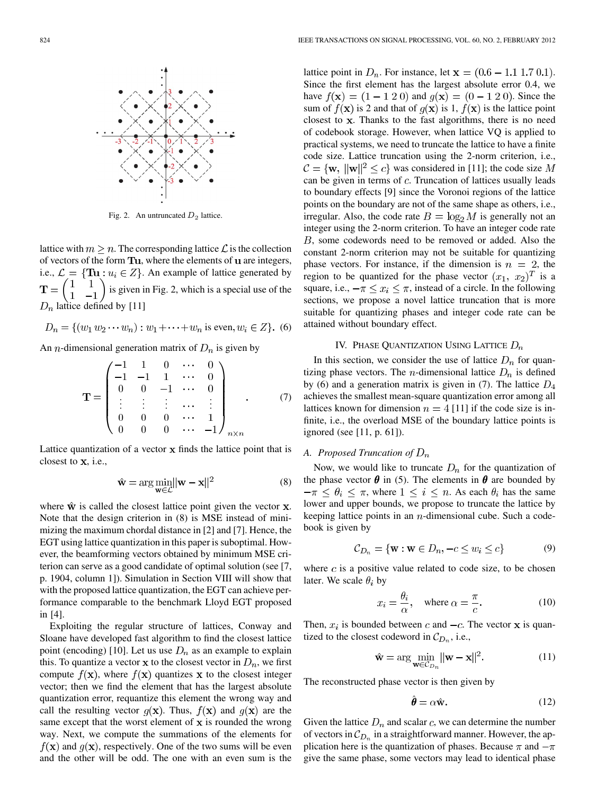

Fig. 2. An untruncated  $D_2$  lattice.

lattice with  $m \geq n$ . The corresponding lattice  $\mathcal L$  is the collection of vectors of the form  $Tu$ , where the elements of  $u$  are integers, i.e.,  $\mathcal{L} = {\mathbf{T} \mathbf{u} : u_i \in Z}$ . An example of lattice generated by  $\begin{pmatrix} 1 \\ -1 \end{pmatrix}$  is given in Fig. 2, which is a special use of the  $D_n$  lattice defined by [11]

$$
D_n = \{ (w_1 w_2 \cdots w_n) : w_1 + \cdots + w_n \text{ is even}, w_i \in Z \}. (6)
$$

An *n*-dimensional generation matrix of  $D_n$  is given by

$$
\mathbf{T} = \begin{pmatrix}\n-1 & 1 & 0 & \cdots & 0 \\
-1 & -1 & 1 & \cdots & 0 \\
0 & 0 & -1 & \cdots & 0 \\
\vdots & \vdots & \vdots & \cdots & \vdots \\
0 & 0 & 0 & \cdots & 1 \\
0 & 0 & 0 & \cdots & -1\n\end{pmatrix}_{n \times n} . \tag{7}
$$

Lattice quantization of a vector  $x$  finds the lattice point that is closest to  $x$ , i.e.,

$$
\hat{\mathbf{w}} = \arg \min_{\mathbf{w} \in \mathcal{L}} ||\mathbf{w} - \mathbf{x}||^2 \tag{8}
$$

where  $\hat{w}$  is called the closest lattice point given the vector  $x$ . Note that the design criterion in (8) is MSE instead of minimizing the maximum chordal distance in [2] and [7]. Hence, the EGT using lattice quantization in this paper is suboptimal. However, the beamforming vectors obtained by minimum MSE criterion can serve as a good candidate of optimal solution (see [7, p. 1904, column 1]). Simulation in Section VIII will show that with the proposed lattice quantization, the EGT can achieve performance comparable to the benchmark Lloyd EGT proposed in [4].

Exploiting the regular structure of lattices, Conway and Sloane have developed fast algorithm to find the closest lattice point (encoding) [10]. Let us use  $D_n$  as an example to explain this. To quantize a vector  $x$  to the closest vector in  $D_n$ , we first compute  $f(\mathbf{x})$ , where  $f(\mathbf{x})$  quantizes x to the closest integer vector; then we find the element that has the largest absolute quantization error, requantize this element the wrong way and call the resulting vector  $g(x)$ . Thus,  $f(x)$  and  $g(x)$  are the same except that the worst element of  $x$  is rounded the wrong way. Next, we compute the summations of the elements for  $f(\mathbf{x})$  and  $g(\mathbf{x})$ , respectively. One of the two sums will be even and the other will be odd. The one with an even sum is the lattice point in  $D_n$ . For instance, let  $\mathbf{x} = (0.6 - 1.1 \, 1.7 \, 0.1)$ . Since the first element has the largest absolute error 0.4, we have  $f(x) = (1 - 120)$  and  $g(x) = (0 - 120)$ . Since the sum of  $f(\mathbf{x})$  is 2 and that of  $g(\mathbf{x})$  is 1,  $f(\mathbf{x})$  is the lattice point closest to  $x$ . Thanks to the fast algorithms, there is no need of codebook storage. However, when lattice VQ is applied to practical systems, we need to truncate the lattice to have a finite code size. Lattice truncation using the 2-norm criterion, i.e.,  $\mathcal{C} = \{\mathbf{w}, \, ||\mathbf{w}||^2 \leq c\}$  was considered in [11]; the code size M can be given in terms of  $c$ . Truncation of lattices usually leads to boundary effects [9] since the Voronoi regions of the lattice points on the boundary are not of the same shape as others, i.e., irregular. Also, the code rate  $B = \log_2 M$  is generally not an integer using the 2-norm criterion. To have an integer code rate B, some codewords need to be removed or added. Also the constant 2-norm criterion may not be suitable for quantizing phase vectors. For instance, if the dimension is  $n = 2$ , the region to be quantized for the phase vector  $(x_1, x_2)^T$  is a square, i.e.,  $-\pi \leq x_i \leq \pi$ , instead of a circle. In the following sections, we propose a novel lattice truncation that is more suitable for quantizing phases and integer code rate can be attained without boundary effect.

# IV. PHASE QUANTIZATION USING LATTICE  $D_n$

In this section, we consider the use of lattice  $D_n$  for quantizing phase vectors. The *n*-dimensional lattice  $D_n$  is defined by (6) and a generation matrix is given in (7). The lattice  $D_4$ achieves the smallest mean-square quantization error among all lattices known for dimension  $n = 4$  [11] if the code size is infinite, i.e., the overload MSE of the boundary lattice points is ignored (see [11, p. 61]).

# *A. Proposed Truncation of*

Now, we would like to truncate  $D_n$  for the quantization of the phase vector  $\theta$  in (5). The elements in  $\theta$  are bounded by  $-\pi \leq \theta_i \leq \pi$ , where  $1 \leq i \leq n$ . As each  $\theta_i$  has the same lower and upper bounds, we propose to truncate the lattice by keeping lattice points in an  $n$ -dimensional cube. Such a codebook is given by

$$
\mathcal{C}_{D_n} = \{ \mathbf{w} : \mathbf{w} \in D_n, -c \le w_i \le c \} \tag{9}
$$

where  $c$  is a positive value related to code size, to be chosen later. We scale  $\theta_i$  by

$$
x_i = \frac{\theta_i}{\alpha}, \quad \text{where } \alpha = \frac{\pi}{c}.
$$
 (10)

Then,  $x_i$  is bounded between c and  $-c$ . The vector x is quantized to the closest codeword in  $\mathcal{C}_{D_n}$ , i.e.,

$$
\hat{\mathbf{w}} = \arg\min_{\mathbf{w} \in C_{D_n}} ||\mathbf{w} - \mathbf{x}||^2.
$$
 (11)

The reconstructed phase vector is then given by

$$
\hat{\boldsymbol{\theta}} = \alpha \hat{\mathbf{w}}.\tag{12}
$$

Given the lattice  $D_n$  and scalar c, we can determine the number of vectors in  $\mathcal{C}_{D_n}$  in a straightforward manner. However, the application here is the quantization of phases. Because  $\pi$  and  $-\pi$ give the same phase, some vectors may lead to identical phase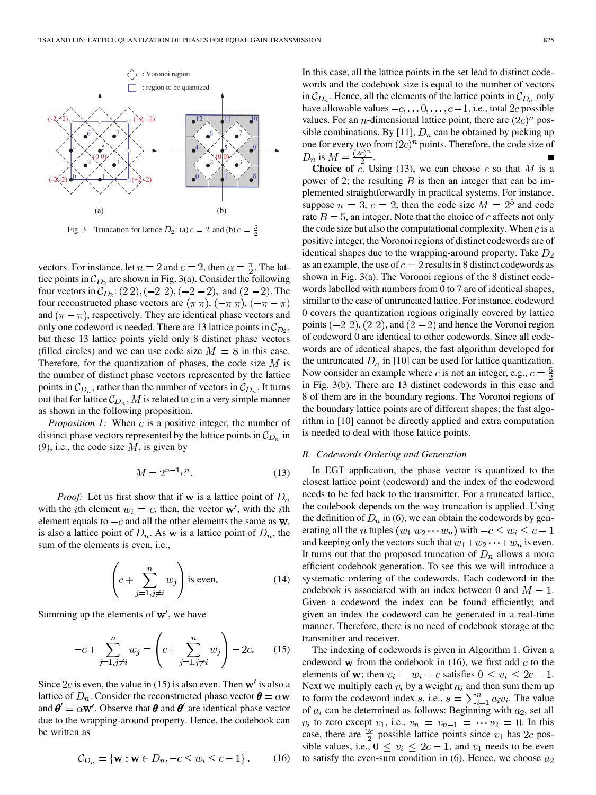

Fig. 3. Truncation for lattice  $D_2$ : (a)  $c = 2$  and (b)  $c = \frac{5}{2}$ .

vectors. For instance, let  $n = 2$  and  $c = 2$ , then  $\alpha = \frac{\pi}{2}$ . The lattice points in  $\mathcal{C}_{D_2}$  are shown in Fig. 3(a). Consider the following four vectors in  $C_{D_2}$ :  $(2\ 2), (-2\ 2), (-2\ -2),$  and  $(2\ -2)$ . The four reconstructed phase vectors are  $(\pi \pi)$ ,  $(-\pi \pi)$ ,  $(-\pi - \pi)$ and  $(\pi - \pi)$ , respectively. They are identical phase vectors and only one codeword is needed. There are 13 lattice points in  $\mathcal{C}_{D_2}$ , but these 13 lattice points yield only 8 distinct phase vectors (filled circles) and we can use code size  $M = 8$  in this case. Therefore, for the quantization of phases, the code size  $M$  is the number of distinct phase vectors represented by the lattice points in  $\mathcal{C}_{D_n}$ , rather than the number of vectors in  $\mathcal{C}_{D_n}$ . It turns out that for lattice  $\mathcal{C}_{D_n}$ , M is related to c in a very simple manner as shown in the following proposition.

*Proposition 1:* When c is a positive integer, the number of distinct phase vectors represented by the lattice points in  $\mathcal{C}_{D_n}$  in (9), i.e., the code size  $M$ , is given by

$$
M = 2^{n-1}c^n.
$$
\n<sup>(13)</sup>

*Proof:* Let us first show that if **w** is a lattice point of  $D_n$ with the *i*th element  $w_i = c$ , then, the vector **w'**, with the *i*th element equals to  $-c$  and all the other elements the same as w, is also a lattice point of  $D_n$ . As w is a lattice point of  $D_n$ , the sum of the elements is even, i.e.,

$$
\left(c + \sum_{j=1, j \neq i}^{n} w_j\right)
$$
 is even. (14)

Summing up the elements of  $w'$ , we have

$$
-c + \sum_{j=1, j \neq i}^{n} w_j = \left( c + \sum_{j=1, j \neq i}^{n} w_j \right) - 2c.
$$
 (15)

Since  $2c$  is even, the value in (15) is also even. Then  $w'$  is also a lattice of  $D_n$ . Consider the reconstructed phase vector  $\boldsymbol{\theta} = \alpha \mathbf{w}$ and  $\theta' = \alpha w'$ . Observe that  $\theta$  and  $\theta'$  are identical phase vector due to the wrapping-around property. Hence, the codebook can be written as

$$
\mathcal{C}_{D_n} = \{ \mathbf{w} : \mathbf{w} \in D_n, -c \le w_i \le c - 1 \}.
$$
 (16)

In this case, all the lattice points in the set lead to distinct codewords and the codebook size is equal to the number of vectors in  $C_{D_n}$ . Hence, all the elements of the lattice points in  $C_{D_n}$  only have allowable values  $-c, \ldots, 0, \ldots, c-1$ , i.e., total 2c possible values. For an *n*-dimensional lattice point, there are  $(2c)^n$  possible combinations. By [11],  $D_n$  can be obtained by picking up one for every two from  $(2c)^n$  points. Therefore, the code size of  $D_n$  is  $M = \frac{(2c)^n}{2}$ .

**Choice of**  $\overrightarrow{c}$ . Using (13), we can choose c so that M is a power of 2; the resulting  $B$  is then an integer that can be implemented straightforwardly in practical systems. For instance, suppose  $n = 3$ ,  $c = 2$ , then the code size  $M = 2<sup>5</sup>$  and code rate  $B = 5$ , an integer. Note that the choice of c affects not only the code size but also the computational complexity. When  $c$  is a positive integer, the Voronoi regions of distinct codewords are of identical shapes due to the wrapping-around property. Take  $D_2$ as an example, the use of  $c=2$  results in 8 distinct codewords as shown in Fig. 3(a). The Voronoi regions of the 8 distinct codewords labelled with numbers from 0 to 7 are of identical shapes, similar to the case of untruncated lattice. For instance, codeword 0 covers the quantization regions originally covered by lattice points  $(-2, 2), (2, 2),$  and  $(2, -2)$  and hence the Voronoi region of codeword 0 are identical to other codewords. Since all codewords are of identical shapes, the fast algorithm developed for the untruncated  $D_n$  in [10] can be used for lattice quantization. Now consider an example where c is not an integer, e.g.,  $c = \frac{5}{2}$ in Fig. 3(b). There are 13 distinct codewords in this case and 8 of them are in the boundary regions. The Voronoi regions of the boundary lattice points are of different shapes; the fast algorithm in [10] cannot be directly applied and extra computation is needed to deal with those lattice points.

### *B. Codewords Ordering and Generation*

In EGT application, the phase vector is quantized to the closest lattice point (codeword) and the index of the codeword needs to be fed back to the transmitter. For a truncated lattice, the codebook depends on the way truncation is applied. Using the definition of  $D_n$  in (6), we can obtain the codewords by generating all the *n* tuples  $(w_1 \ w_2 \cdots w_n)$  with  $-c \leq w_i \leq c-1$ and keeping only the vectors such that  $w_1 + w_2 \cdots + w_n$  is even. It turns out that the proposed truncation of  $D_n$  allows a more efficient codebook generation. To see this we will introduce a systematic ordering of the codewords. Each codeword in the codebook is associated with an index between 0 and  $M - 1$ . Given a codeword the index can be found efficiently; and given an index the codeword can be generated in a real-time manner. Therefore, there is no need of codebook storage at the transmitter and receiver.

The indexing of codewords is given in Algorithm 1. Given a codeword  $w$  from the codebook in (16), we first add  $c$  to the elements of **w**; then  $v_i = w_i + c$  satisfies  $0 \le v_i \le 2c - 1$ . Next we multiply each  $v_i$  by a weight  $a_i$  and then sum them up to form the codeword index s, i.e.,  $s = \sum_{i=1}^{n} a_i v_i$ . The value of  $a_i$  can be determined as follows: Beginning with  $a_2$ , set all  $v_i$  to zero except  $v_1$ , i.e.,  $v_n = v_{n-1} = \cdots v_2 = 0$ . In this case, there are  $\frac{2c}{2}$  possible lattice points since  $v_1$  has  $2c$  possible values, i.e.,  $0 \le v_i \le 2c - 1$ , and  $v_1$  needs to be even to satisfy the even-sum condition in  $(6)$ . Hence, we choose  $a_2$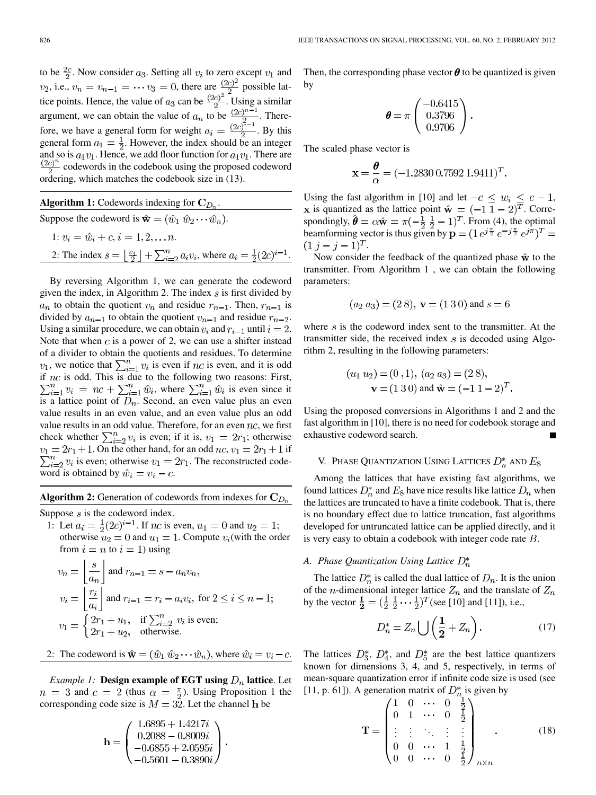to be  $\frac{2c}{2}$ . Now consider  $a_3$ . Setting all  $v_i$  to zero except  $v_1$  and  $v_2$ , i.e.,  $v_n = v_{n-1} = \cdots v_3 = 0$ , there are  $\frac{(2c)^2}{2}$  possible lattice points. Hence, the value of  $a_3$  can be  $\frac{(2c)}{2}$ . Using a similar argument, we can obtain the value of  $a_n$  to be  $\frac{(2c)}{2}$ . Therefore, we have a general form for weight  $a_i = \frac{(2c)^{2}-1}{2}$ . By this general form  $a_1 = \frac{1}{2}$ . However, the index should be an integer and so is  $a_1v_1$ . Hence, we add floor function for  $a_1v_1$ . There are  $\frac{(2c)^n}{2}$  codewords in the codebook using the proposed codeword ordering, which matches the codebook size in (13).

**Algorithm 1:** Codewords indexing for  $\mathbf{C}_{D_n}$ . Suppose the codeword is  $\hat{\mathbf{w}} = (\hat{w}_1 \ \hat{w}_2 \cdots \hat{w}_n)$ . 1:  $v_i = \hat{w}_i + c, i = 1, 2, \dots n$ . 2: The index  $s = \left| \frac{v_1}{2} \right| + \sum_{i=2}^n a_i v_i$ , where  $a_i = \frac{1}{2} (2c)^{i-1}$ .

By reversing Algorithm 1, we can generate the codeword given the index, in Algorithm 2. The index  $s$  is first divided by  $a_n$  to obtain the quotient  $v_n$  and residue  $r_{n-1}$ . Then,  $r_{n-1}$  is divided by  $a_{n-1}$  to obtain the quotient  $v_{n-1}$  and residue  $r_{n-2}$ . Using a similar procedure, we can obtain  $v_i$  and  $r_{i-1}$  until  $i = 2$ . Note that when  $c$  is a power of 2, we can use a shifter instead of a divider to obtain the quotients and residues. To determine  $v_1$ , we notice that  $\sum_{i=1}^n v_i$  is even if nc is even, and it is odd if  $nc$  is odd. This is due to the following two reasons: First, , where  $\sum_{i=1}^{n} \hat{w}_i$  is even since it is a lattice point of  $D_n$ . Second, an even value plus an even value results in an even value, and an even value plus an odd value results in an odd value. Therefore, for an even  $nc$ , we first check whether  $\sum_{i=2}^{n} v_i$  is even; if it is,  $v_1 = 2r_1$ ; otherwise  $v_1 = 2r_1 + 1$ . On the other hand, for an odd  $nc$ ,  $v_1 = 2r_1 + 1$  if  $\sum_{i=2}^{n} v_i$  is even; otherwise  $v_1 = 2r_1$ . The reconstructed codeword is obtained by  $\hat{w}_i = v_i - c$ .

**Algorithm 2:** Generation of codewords from indexes for  $C_{D_n}$ Suppose  $s$  is the codeword index.

1: Let  $a_i = \frac{1}{2}(2c)^{i-1}$ . If nc is even,  $u_1 = 0$  and  $u_2 = 1$ ; otherwise  $u_2 = 0$  and  $u_1 = 1$ . Compute  $v_i$  (with the order from  $i = n$  to  $i = 1$ ) using

$$
v_n = \left\lfloor \frac{s}{a_n} \right\rfloor \text{ and } r_{n-1} = s - a_n v_n,
$$
  
\n
$$
v_i = \left\lfloor \frac{r_i}{a_i} \right\rfloor \text{ and } r_{i-1} = r_i - a_i v_i, \text{ for } 2 \le i \le n - 1;
$$
  
\n
$$
v_1 = \begin{cases} 2r_1 + u_1, & \text{if } \sum_{i=2}^n v_i \text{ is even;} \\ 2r_1 + u_2, & \text{otherwise.} \end{cases}
$$

2: The codeword is  $\hat{\mathbf{w}} = (\hat{w}_1 \ \hat{w}_2 \cdots \hat{w}_n)$ , where  $\hat{w}_i = v_i - c$ .

*Example 1:* **Design example of EGT using**  $D_n$  **lattice**. Let  $n = 3$  and  $c = 2$  (thus  $\alpha = \frac{\pi}{2}$ ). Using Proposition 1 the corresponding code size is  $M = 32$ . Let the channel h be

$$
\mathbf{h} = \begin{pmatrix} 1.6895 + 1.4217i \\ 0.2088 - 0.8009i \\ -0.6855 + 2.0595i \\ -0.5601 - 0.3890i \end{pmatrix}
$$

Then, the corresponding phase vector  $\theta$  to be quantized is given by

$$
\theta = \pi \left( \begin{array}{c} -0.6415 \\ 0.3796 \\ 0.9706 \end{array} \right).
$$

The scaled phase vector is

$$
\mathbf{x} = \frac{\theta}{\alpha} = (-1.2830 \, 0.7592 \, 1.9411)^T.
$$

Using the fast algorithm in [10] and let  $-c \leq w_i \leq c-1$ , **x** is quantized as the lattice point  $\hat{\mathbf{w}} = (-1 \ 1 - 2)^T$ . Correspondingly,  $\theta = \alpha \hat{w} = \pi(-\frac{1}{2} \frac{1}{2} - 1)^T$ . From (4), the optimal beamforming vector is thus given by  $(1 j - j - 1)^T$ .

Now consider the feedback of the quantized phase  $\hat{w}$  to the transmitter. From Algorithm 1 , we can obtain the following parameters:

$$
(a_2 a_3) = (2 8), \mathbf{v} = (1 3 0)
$$
 and  $s = 6$ 

where  $s$  is the codeword index sent to the transmitter. At the transmitter side, the received index  $s$  is decoded using Algorithm 2, resulting in the following parameters:

$$
(u_1 u_2) = (0, 1), (a_2 a_3) = (2 8),
$$
  
 $\mathbf{v} = (1 3 0) \text{ and } \hat{\mathbf{w}} = (-1 1 - 2)^T$ 

Using the proposed conversions in Algorithms 1 and 2 and the fast algorithm in [10], there is no need for codebook storage and exhaustive codeword search.

# V. PHASE QUANTIZATION USING LATTICES  $D_n^*$  and  $E_8$

Among the lattices that have existing fast algorithms, we found lattices  $D_n^*$  and  $E_8$  have nice results like lattice  $D_n$  when the lattices are truncated to have a finite codebook. That is, there is no boundary effect due to lattice truncation, fast algorithms developed for untruncated lattice can be applied directly, and it is very easy to obtain a codebook with integer code rate  $B$ .

# *A. Phase Quantization Using Lattice*

The lattice  $D_n^*$  is called the dual lattice of  $D_n$ . It is the union of the *n*-dimensional integer lattice  $Z_n$  and the translate of  $Z_n$ by the vector  $\frac{1}{2} = (\frac{1}{2} \cdot \frac{1}{2} \cdots \frac{1}{2})^T$  (see [10] and [11]), i.e.,

$$
D_n^* = Z_n \bigcup \left(\frac{1}{2} + Z_n\right). \tag{17}
$$

The lattices  $D_3^*$ ,  $D_4^*$ , and  $D_5^*$  are the best lattice quantizers known for dimensions 3, 4, and 5, respectively, in terms of mean-square quantization error if infinite code size is used (see [11, p. 61]). A generation matrix of  $D_n^*$  is given by

$$
\mathbf{T} = \begin{pmatrix} 1 & 0 & \cdots & 0 & \frac{1}{2} \\ 0 & 1 & \cdots & 0 & \frac{1}{2} \\ \vdots & \vdots & \ddots & \vdots & \vdots \\ 0 & 0 & \cdots & 1 & \frac{1}{2} \\ 0 & 0 & \cdots & 0 & \frac{1}{2} \end{pmatrix}_{n \times n}
$$
 (18)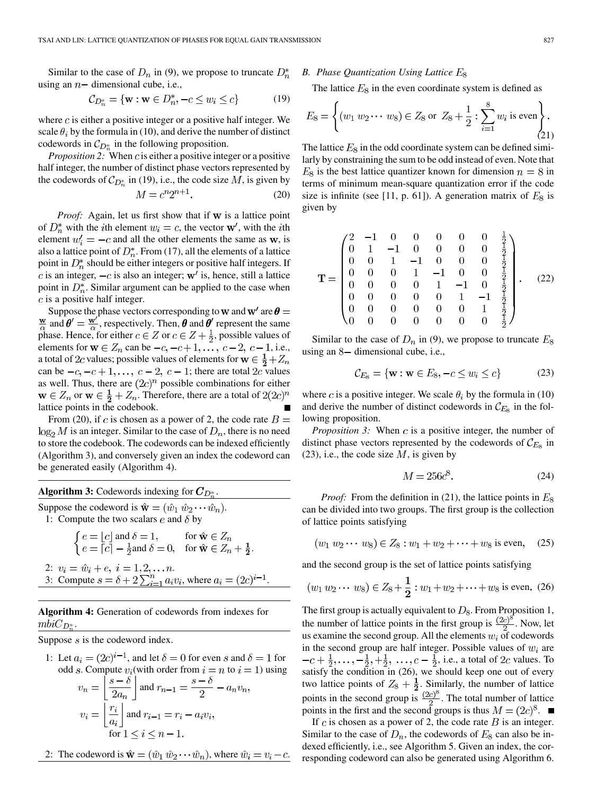Similar to the case of  $D_n$  in (9), we propose to truncate  $D_n^*$ using an  $n-$  dimensional cube, i.e.,

$$
C_{D_n^*} = \{ \mathbf{w} : \mathbf{w} \in D_n^*, -c \le w_i \le c \}
$$
 (19)

where  $c$  is either a positive integer or a positive half integer. We scale  $\theta_i$  by the formula in (10), and derive the number of distinct codewords in  $\mathcal{C}_{D_{\infty}^{*}}$  in the following proposition.

*Proposition 2:* When *c* is either a positive integer or a positive half integer, the number of distinct phase vectors represented by the codewords of  $\mathcal{C}_{D_n^*}$  in (19), i.e., the code size  $M$ , is given by  $M = c^{n}2^{n+1}$ . (20)

*Proof:* Again, let us first show that if **w** is a lattice point  
of 
$$
D_n^*
$$
 with the *i*th element  $w_i = c$ , the vector **w'**, with the *i*th  
element  $w'_i = -c$  and all the other elements the same as **w**, is  
also a lattice point of  $D_n^*$ . From (17), all the elements of a lattice  
point in  $D_n^*$  should be either integers or positive half integers. If  
*c* is an integer,  $-c$  is also an integer; **w'** is, hence, still a lattice  
point in  $D_n^*$ . Similar argument can be applied to the case when  
*c* is a positive half integer.

Suppose the phase vectors corresponding to w and  $w'$  are  $\theta =$  $\frac{\mathbf{w}}{\alpha}$  and  $\boldsymbol{\theta}' = \frac{\mathbf{w}'}{\alpha}$ , respectively. Then,  $\boldsymbol{\theta}$  and  $\boldsymbol{\theta}'$  represent the same phase. Hence, for either  $c \in Z$  or  $c \in Z + \frac{1}{2}$ , possible values of elements for  $\mathbf{w} \in Z_n$  can be  $-c, -c+1, \ldots, c-2, c-1$ , i.e., a total of 2c values; possible values of elements for  $\mathbf{w} \in \frac{1}{2} + Z_n$ can be  $-c$ ,  $-c+1$ ,...,  $c-2$ ,  $c-1$ ; there are total 2c values as well. Thus, there are  $(2c)^n$  possible combinations for either  $\mathbf{w} \in Z_n$  or  $\mathbf{w} \in \frac{1}{2} + Z_n$ . Therefore, there are a total of  $2(2c)^n$ lattice points in the codebook.

From (20), if c is chosen as a power of 2, the code rate  $B =$  $\log_2 M$  is an integer. Similar to the case of  $D_n$ , there is no need to store the codebook. The codewords can be indexed efficiently (Algorithm 3), and conversely given an index the codeword can be generated easily (Algorithm 4).

**Algorithm 3:** Codewords indexing for  $C_{D_{\infty}^{*}}$ .

Suppose the codeword is  $\hat{\mathbf{w}} = (\hat{w}_1 \ \hat{w}_2 \cdots \hat{w}_n)$ .

1: Compute the two scalars  $e$  and  $\delta$  by

$$
\begin{cases} e = \lfloor c \rfloor \text{ and } \delta = 1, & \text{for } \hat{\mathbf{w}} \in Z_n \\ e = \lceil c \rceil - \frac{1}{2} \text{ and } \delta = 0, & \text{for } \hat{\mathbf{w}} \in Z_n + \frac{1}{2}. \end{cases}
$$

2:  $v_i = \hat{w}_i + e, i = 1, 2, \dots n.$ 3: Compute  $s = \delta + 2 \sum_{i=1}^{n} a_i v_i$ , where  $a_i = (2c)^{i-1}$ .

**Algorithm 4:** Generation of codewords from indexes for  $mbiC_{D_r^*}.$ 

Suppose  $s$  is the codeword index.

1: Let  $a_i = (2c)^{i-1}$ , and let  $\delta = 0$  for even s and  $\delta = 1$  for odd s. Compute  $v_i$  (with order from  $i = n$  to  $i = 1$ ) using

$$
v_n = \left[\frac{s-\delta}{2a_n}\right] \text{ and } r_{n-1} = \frac{s-\delta}{2} - a_n v_n,
$$
  

$$
v_i = \left[\frac{r_i}{a_i}\right] \text{ and } r_{i-1} = r_i - a_i v_i,
$$
  
for  $1 \le i \le n-1$ .

2: The codeword is 
$$
\hat{\mathbf{w}} = (\hat{w}_1 \hat{w}_2 \cdots \hat{w}_n)
$$
, where  $\hat{w}_i = v_i - c$ .

# *B. Phase Quantization Using Lattice*

The lattice  $E_8$  in the even coordinate system is defined as

$$
E_8 = \left\{ (w_1 \ w_2 \cdots \ w_8) \in Z_8 \text{ or } Z_8 + \frac{1}{2} : \sum_{i=1}^{8} w_i \text{ is even} \right\}.
$$
\n(21)

The lattice  $E_8$  in the odd coordinate system can be defined similarly by constraining the sum to be odd instead of even. Note that  $E_8$  is the best lattice quantizer known for dimension  $n = 8$  in terms of minimum mean-square quantization error if the code size is infinite (see [11, p. 61]). A generation matrix of  $E_8$  is given by

$$
\mathbf{T} = \begin{pmatrix} 2 & -1 & 0 & 0 & 0 & 0 & 0 & \frac{1}{2} \\ 0 & 1 & -1 & 0 & 0 & 0 & 0 & \frac{1}{2} \\ 0 & 0 & 1 & -1 & 0 & 0 & 0 & \frac{1}{2} \\ 0 & 0 & 0 & 1 & -1 & 0 & 0 & \frac{1}{2} \\ 0 & 0 & 0 & 0 & 1 & -1 & 0 & \frac{1}{2} \\ 0 & 0 & 0 & 0 & 0 & 1 & -1 & \frac{1}{2} \\ 0 & 0 & 0 & 0 & 0 & 0 & 1 & \frac{1}{2} \\ 0 & 0 & 0 & 0 & 0 & 0 & 0 & \frac{1}{2} \end{pmatrix}.
$$
 (22)

Similar to the case of  $D_n$  in (9), we propose to truncate  $E_8$ using an  $8-$  dimensional cube, i.e.,

$$
\mathcal{C}_{E_8} = \{ \mathbf{w} : \mathbf{w} \in E_8, -c \le w_i \le c \} \tag{23}
$$

where c is a positive integer. We scale  $\theta_i$  by the formula in (10) and derive the number of distinct codewords in  $\mathcal{C}_{E_8}$  in the following proposition.

*Proposition 3:* When  $c$  is a positive integer, the number of distinct phase vectors represented by the codewords of  $\mathcal{C}_{E_8}$  in (23), i.e., the code size  $M$ , is given by

$$
M = 256c^8. \tag{24}
$$

*Proof:* From the definition in (21), the lattice points in  $E_8$ can be divided into two groups. The first group is the collection of lattice points satisfying

 $(w_1 w_2 \cdots w_8) \in Z_8 : w_1 + w_2 + \cdots + w_8$  is even, (25)

and the second group is the set of lattice points satisfying

$$
(w_1 w_2 \cdots w_8) \in Z_8 + \frac{1}{2} : w_1 + w_2 + \cdots + w_8
$$
 is even. (26)

The first group is actually equivalent to  $D_8$ . From Proposition 1, the number of lattice points in the first group is  $\frac{(2c)^8}{2}$ . Now, let us examine the second group. All the elements  $w_i$  of codewords in the second group are half integer. Possible values of  $w_i$  are  $-c+\frac{1}{2}, \ldots, -\frac{1}{2}, +\frac{1}{2}, \ldots, c-\frac{1}{2}$ , i.e., a total of 2c values. To satisfy the condition in (26), we should keep one out of every two lattice points of  $Z_8 + \frac{1}{2}$ . Similarly, the number of lattice points in the second group is  $\frac{(2c)}{2}$ . The total number of lattice points in the first and the second groups is thus  $M = (2c)^8$ .

If  $c$  is chosen as a power of 2, the code rate  $B$  is an integer. Similar to the case of  $D_n$ , the codewords of  $E_8$  can also be indexed efficiently, i.e., see Algorithm 5. Given an index, the corresponding codeword can also be generated using Algorithm 6.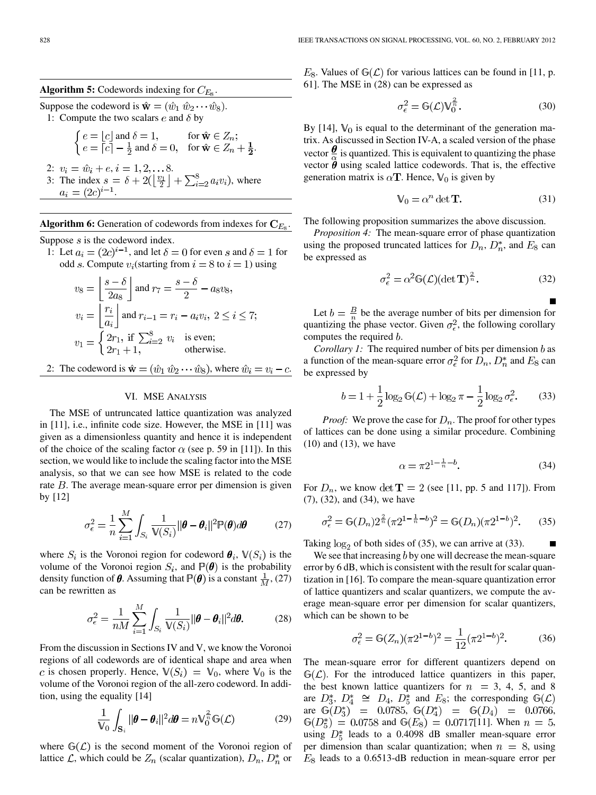# **Algorithm 5:** Codewords indexing for  $C_{E_8}$ .

Suppose the codeword is  $\hat{\mathbf{w}} = (\hat{w}_1 \ \hat{w}_2 \cdots \hat{w}_8)$ . 1: Compute the two scalars  $e$  and  $\delta$  by

$$
\begin{cases} e = \lfloor c \rfloor \text{ and } \delta = 1, \\ e = \lceil c \rceil - \frac{1}{2} \text{ and } \delta = 0, \quad \text{for } \hat{\mathbf{w}} \in Z_n + \frac{1}{2}. \end{cases}
$$

2:  $v_i = \hat{w}_i + e, i = 1, 2, \dots 8.$ 3: The index  $s = \delta + 2(\lfloor \frac{v_1}{2} \rfloor + \sum_{i=2}^{8} a_i v_i)$ , where  $a_i = (2c)^{i-1}.$ 

# **Algorithm 6:** Generation of codewords from indexes for  $C_{E_8}$ .

Suppose  $s$  is the codeword index.

1: Let  $a_i = (2c)^{i-1}$ , and let  $\delta = 0$  for even s and  $\delta = 1$  for odd s. Compute  $v_i$  (starting from  $i = 8$  to  $i = 1$ ) using

$$
v_8 = \left\lfloor \frac{s - \delta}{2a_8} \right\rfloor \text{ and } r_7 = \frac{s - \delta}{2} - a_8 v_8,
$$
  
\n
$$
v_i = \left\lfloor \frac{r_i}{a_i} \right\rfloor \text{ and } r_{i-1} = r_i - a_i v_i, \ 2 \le i \le 7;
$$
  
\n
$$
v_1 = \begin{cases} 2r_1, \text{ if } \sum_{i=2}^8 v_i & \text{is even;} \\ 2r_1 + 1, & \text{otherwise.} \end{cases}
$$

2: The codeword is 
$$
\hat{\mathbf{w}} = (\hat{w}_1 \ \hat{w}_2 \cdots \hat{w}_8)
$$
, where  $\hat{w}_i = v_i - c$ .

#### VI. MSE ANALYSIS

The MSE of untruncated lattice quantization was analyzed in [11], i.e., infinite code size. However, the MSE in [11] was given as a dimensionless quantity and hence it is independent of the choice of the scaling factor  $\alpha$  (see p. 59 in [11]). In this section, we would like to include the scaling factor into the MSE analysis, so that we can see how MSE is related to the code rate  $B$ . The average mean-square error per dimension is given by [12]

$$
\sigma_{\epsilon}^2 = \frac{1}{n} \sum_{i=1}^{M} \int_{S_i} \frac{1}{\mathbb{V}(S_i)} ||\boldsymbol{\theta} - \boldsymbol{\theta}_i||^2 \mathbb{P}(\boldsymbol{\theta}) d\boldsymbol{\theta}
$$
 (27)

where  $S_i$  is the Voronoi region for codeword  $\theta_i$ ,  $\mathbb{V}(S_i)$  is the volume of the Voronoi region  $S_i$ , and  $\mathbb{P}(\theta)$  is the probability density function of  $\theta$ . Assuming that  $\mathbb{P}(\theta)$  is a constant  $\frac{1}{M}$ , (27) can be rewritten as

$$
\sigma_{\epsilon}^2 = \frac{1}{nM} \sum_{i=1}^{M} \int_{S_i} \frac{1}{\mathbb{V}(S_i)} ||\boldsymbol{\theta} - \boldsymbol{\theta}_i||^2 d\boldsymbol{\theta}.
$$
 (28)

From the discussion in Sections IV and V, we know the Voronoi regions of all codewords are of identical shape and area when c is chosen properly. Hence,  $\mathbb{V}(S_i) = \mathbb{V}_0$ , where  $\mathbb{V}_0$  is the volume of the Voronoi region of the all-zero codeword. In addition, using the equality [14]

$$
\frac{1}{\mathbb{V}_0} \int_{\mathbf{S}_i} ||\boldsymbol{\theta} - \boldsymbol{\theta}_i||^2 d\boldsymbol{\theta} = n \mathbb{V}_0^{\frac{2}{n}} \mathbb{G}(\mathcal{L})
$$
 (29)

where  $\mathbb{G}(\mathcal{L})$  is the second moment of the Voronoi region of lattice  $\mathcal{L}$ , which could be  $Z_n$  (scalar quantization),  $D_n$ ,  $D_n^*$  or

 $E_8$ . Values of  $\mathbb{G}(\mathcal{L})$  for various lattices can be found in [11, p. 61]. The MSE in (28) can be expressed as

$$
\sigma_{\epsilon}^2 = \mathbb{G}(\mathcal{L}) \mathbb{V}_0^{\frac{2}{n}}.
$$
 (30)

By [14],  $\mathbb{V}_0$  is equal to the determinant of the generation matrix. As discussed in Section IV-A, a scaled version of the phase vector  $\frac{p}{q}$  is quantized. This is equivalent to quantizing the phase vector  $\ddot{\theta}$  using scaled lattice codewords. That is, the effective generation matrix is  $\alpha T$ . Hence,  $V_0$  is given by

$$
\mathbb{V}_0 = \alpha^n \det \mathbf{T}.\tag{31}
$$

The following proposition summarizes the above discussion.

*Proposition 4:* The mean-square error of phase quantization using the proposed truncated lattices for  $D_n$ ,  $D_n^*$ , and  $E_8$  can be expressed as

$$
\sigma_{\epsilon}^{2} = \alpha^{2} \mathbb{G}(\mathcal{L}) (\det \mathbf{T})^{\frac{2}{n}}.
$$
 (32)

Let  $b = \frac{B}{n}$  be the average number of bits per dimension for quantizing the phase vector. Given  $\sigma_{\epsilon}^2$ , the following corollary computes the required *.* 

*Corollary 1:* The required number of bits per dimension  $b$  as a function of the mean-square error  $\sigma_{\epsilon}^2$  for  $D_n$ ,  $D_n^*$  and  $E_8$  can be expressed by

$$
b = 1 + \frac{1}{2}\log_2 6(\mathcal{L}) + \log_2 \pi - \frac{1}{2}\log_2 \sigma_{\epsilon}^2.
$$
 (33)

*Proof:* We prove the case for  $D_n$ . The proof for other types of lattices can be done using a similar procedure. Combining (10) and (13), we have

$$
x = \pi 2^{1 - \frac{1}{n} - b}.\tag{34}
$$

For  $D_n$ , we know  $\det \mathbf{T} = 2$  (see [11, pp. 5 and 117]). From (7), (32), and (34), we have

$$
\sigma_{\epsilon}^2 = \mathbb{G}(D_n) 2^{\frac{2}{n}} (\pi 2^{1-\frac{1}{n}-b})^2 = \mathbb{G}(D_n) (\pi 2^{1-b})^2.
$$
 (35)

Taking  $log_2$  of both sides of (35), we can arrive at (33).

We see that increasing  $b$  by one will decrease the mean-square error by 6 dB, which is consistent with the result for scalar quantization in [16]. To compare the mean-square quantization error of lattice quantizers and scalar quantizers, we compute the average mean-square error per dimension for scalar quantizers, which can be shown to be

$$
\sigma_{\epsilon}^2 = \mathbb{G}(Z_n)(\pi 2^{1-b})^2 = \frac{1}{12}(\pi 2^{1-b})^2.
$$
 (36)

The mean-square error for different quantizers depend on  $G(\mathcal{L})$ . For the introduced lattice quantizers in this paper, the best known lattice quantizers for  $n = 3, 4, 5,$  and 8 are  $D_3^*$ ,  $D_4^* \cong D_4$ ,  $D_5^*$  and  $E_8$ ; the corresponding  $\mathbb{G}(\mathcal{L})$ are  $\mathfrak{S}(D_3^*)$  = 0.0785,  $\mathfrak{S}(D_4^*)$  =  $\mathfrak{S}(D_4)$  = 0.0766,  $\mathbb{G}(D_5^*) = 0.0758$  and  $\mathbb{G}(E_8) = 0.0717[11]$ . When  $n = 5$ , using  $D_5^*$  leads to a 0.4098 dB smaller mean-square error per dimension than scalar quantization; when  $n = 8$ , using  $E_8$  leads to a 0.6513-dB reduction in mean-square error per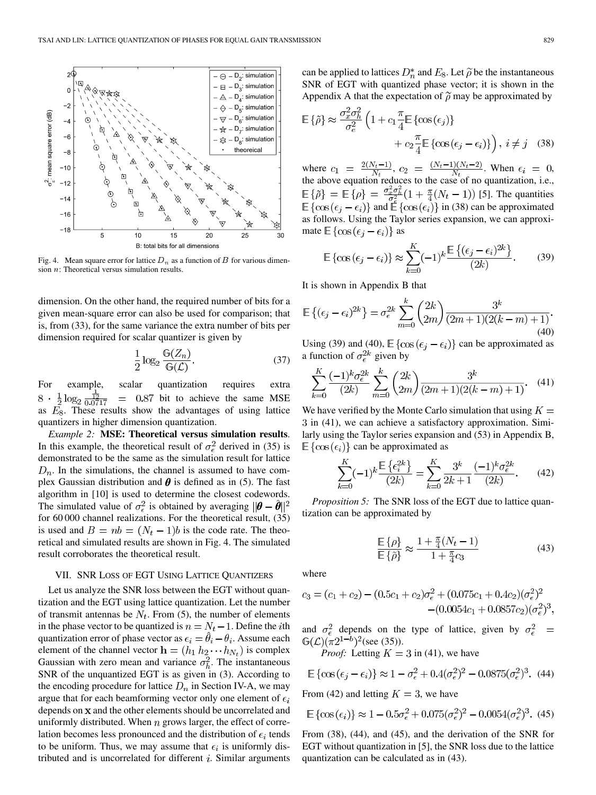

Fig. 4. Mean square error for lattice  $D_n$  as a function of B for various dimension  $n$ : Theoretical versus simulation results.

dimension. On the other hand, the required number of bits for a given mean-square error can also be used for comparison; that is, from (33), for the same variance the extra number of bits per dimension required for scalar quantizer is given by

$$
\frac{1}{2}\log_2\frac{\mathbb{G}(Z_n)}{\mathbb{G}(\mathcal{L})}.
$$
\n(37)

For example, scalar quantization requires extra  $8 \cdot \frac{1}{2} \log_2 \frac{\overline{12}}{0.0717}$  $=$  0.87 bit to achieve the same MSE as  $E_8$ . These results show the advantages of using lattice quantizers in higher dimension quantization.

*Example 2:* **MSE: Theoretical versus simulation results**. In this example, the theoretical result of  $\sigma_{\epsilon}^2$  derived in (35) is demonstrated to be the same as the simulation result for lattice  $D_n$ . In the simulations, the channel is assumed to have complex Gaussian distribution and  $\theta$  is defined as in (5). The fast algorithm in [10] is used to determine the closest codewords. The simulated value of  $\sigma_{\epsilon}^2$  is obtained by averaging  $||\boldsymbol{\theta} - \hat{\boldsymbol{\theta}}||^2$ for 60 000 channel realizations. For the theoretical result, (35) is used and  $B = nb = (N_t - 1)b$  is the code rate. The theoretical and simulated results are shown in Fig. 4. The simulated result corroborates the theoretical result.

## VII. SNR LOSS OF EGT USING LATTICE QUANTIZERS

Let us analyze the SNR loss between the EGT without quantization and the EGT using lattice quantization. Let the number of transmit antennas be  $N_t$ . From (5), the number of elements in the phase vector to be quantized is  $n = N_t - 1$ . Define the *i*th quantization error of phase vector as  $\epsilon_i = \theta_i - \theta_i$ . Assume each element of the channel vector  $\mathbf{h} = (h_1 \ h_2 \cdots h_{N_t})$  is complex Gaussian with zero mean and variance  $\sigma_h^2$ . The instantaneous SNR of the unquantized EGT is as given in (3). According to the encoding procedure for lattice  $D_n$  in Section IV-A, we may argue that for each beamforming vector only one element of  $\epsilon_i$ depends on x and the other elements should be uncorrelated and uniformly distributed. When  $n$  grows larger, the effect of correlation becomes less pronounced and the distribution of  $\epsilon_i$  tends to be uniform. Thus, we may assume that  $\epsilon_i$  is uniformly distributed and is uncorrelated for different  $i$ . Similar arguments

can be applied to lattices  $D_n^*$  and  $E_8$ . Let  $\tilde{\rho}$  be the instantaneous SNR of EGT with quantized phase vector; it is shown in the Appendix A that the expectation of  $\tilde{\rho}$  may be approximated by

$$
\mathbb{E}\left\{\tilde{\rho}\right\} \approx \frac{\sigma_x^2 \sigma_h^2}{\sigma_e^2} \left(1 + c_1 \frac{\pi}{4} \mathbb{E}\left\{\cos\left(\epsilon_j\right)\right\} + c_2 \frac{\pi}{4} \mathbb{E}\left\{\cos\left(\epsilon_j - \epsilon_i\right)\right\}\right), \ i \neq j \quad (38)
$$

where  $c_1 = \frac{2(N_t-1)}{N_t}$ ,  $c_2 = \frac{(N_t-1)(N_t-2)}{N_t}$ . When  $\epsilon_i = 0$ , the above equation reduces to the case of no quantization, i.e., [5]. The quantities and  $\mathbb{E}\left\{\cos\left(\epsilon_{i}\right)\right\}$  in (38) can be approximated as follows. Using the Taylor series expansion, we can approximate  $\mathbb{E}\left\{\cos\left(\epsilon_j-\epsilon_i\right)\right\}$  as

$$
\mathbb{E}\left\{\cos\left(\epsilon_j - \epsilon_i\right)\right\} \approx \sum_{k=0}^{K} (-1)^k \frac{\mathbb{E}\left\{\left(\epsilon_j - \epsilon_i\right)^{2k}\right\}}{(2k)}.
$$
 (39)

It is shown in Appendix B that

$$
\mathbb{E}\left\{(\epsilon_j - \epsilon_i)^{2k}\right\} = \sigma_{\epsilon}^{2k} \sum_{m=0}^{k} {2k \choose 2m} \frac{3^k}{(2m+1)(2(k-m)+1)}.
$$
\n(40)

Using (39) and (40),  $E\{\cos(\epsilon_i - \epsilon_i)\}\)$  can be approximated as a function of  $\sigma_{\epsilon}^{2k}$  given by

$$
\sum_{k=0}^{K} \frac{(-1)^k \sigma_\epsilon^{2k}}{(2k)} \sum_{m=0}^{k} {2k \choose 2m} \frac{3^k}{(2m+1)(2(k-m)+1)}. (41)
$$

We have verified by the Monte Carlo simulation that using  $K =$ 3 in (41), we can achieve a satisfactory approximation. Similarly using the Taylor series expansion and (53) in Appendix B,  $E\{\cos(\epsilon_i)\}\)$  can be approximated as

$$
\sum_{k=0}^{K}(-1)^{k}\frac{\mathbb{E}\left\{\epsilon_{i}^{2k}\right\}}{(2k)} = \sum_{k=0}^{K}\frac{3^{k}}{2k+1}\frac{(-1)^{k}\sigma_{\epsilon}^{2k}}{(2k)}.
$$
 (42)

*Proposition 5:* The SNR loss of the EGT due to lattice quantization can be approximated by

$$
\frac{\mathbb{E}\left\{\rho\right\}}{\mathbb{E}\left\{\tilde{\rho}\right\}} \approx \frac{1 + \frac{\pi}{4}(N_t - 1)}{1 + \frac{\pi}{4}c_3} \tag{43}
$$

where

$$
c_3 = (c_1 + c_2) - (0.5c_1 + c_2)\sigma_\epsilon^2 + (0.075c_1 + 0.4c_2)(\sigma_\epsilon^2)^2 - (0.0054c_1 + 0.0857c_2)(\sigma_\epsilon^2)^3,
$$

and  $\sigma_{\epsilon}^2$  depends on the type of lattice, given by  $\sigma_{\epsilon}^2$  =  $\mathbb{G}(\mathcal{L})(\pi 2^{1-\tilde{b}})^2$ (see (35)).

*Proof:* Letting  $K = 3$  in (41), we have

$$
\mathbb{E}\left\{\cos\left(\epsilon_j-\epsilon_i\right)\right\} \approx 1 - \sigma_{\epsilon}^2 + 0.4(\sigma_{\epsilon}^2)^2 - 0.0875(\sigma_{\epsilon}^2)^3. \tag{44}
$$

From (42) and letting  $K = 3$ , we have

$$
\mathbb{E}\left\{\cos\left(\epsilon_i\right)\right\} \approx 1 - 0.5\sigma_{\epsilon}^2 + 0.075(\sigma_{\epsilon}^2)^2 - 0.0054(\sigma_{\epsilon}^2)^3. \tag{45}
$$

From (38), (44), and (45), and the derivation of the SNR for EGT without quantization in [5], the SNR loss due to the lattice quantization can be calculated as in (43).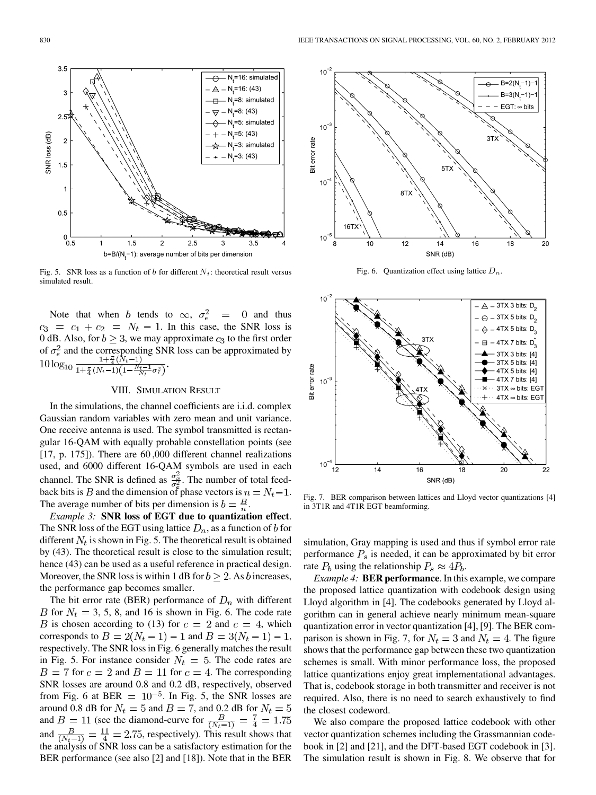

Fig. 5. SNR loss as a function of b for different  $N_t$ : theoretical result versus simulated result.

Note that when b tends to  $\infty$ ,  $\sigma_{\epsilon}^2 = 0$  and thus  $c_3 = c_1 + c_2 = N_t - 1$ . In this case, the SNR loss is 0 dB. Also, for  $b \geq 3$ , we may approximate  $c_3$  to the first order of  $\sigma_{\epsilon}^2$  and the corresponding SNR loss can be approximated by  $10 \log_{10} \frac{1 + \frac{\pi}{4}(N_t - 1)}{1 + \frac{\pi}{4}(N_t - 1)(1 - \frac{N_t - 1}{N_t} \sigma_{\epsilon}^2)}$ .

## VIII. SIMULATION RESULT

In the simulations, the channel coefficients are i.i.d. complex Gaussian random variables with zero mean and unit variance. One receive antenna is used. The symbol transmitted is rectangular 16-QAM with equally probable constellation points (see [17, p. 175]). There are 60 ,000 different channel realizations used, and 6000 different 16-QAM symbols are used in each channel. The SNR is defined as  $\frac{\sigma_x^2}{\sigma_e^2}$ . The number of total feedback bits is B and the dimension of phase vectors is  $n = N_t - 1$ . The average number of bits per dimension is  $b = \frac{B}{n}$ .

*Example 3:* **SNR loss of EGT due to quantization effect**. The SNR loss of the EGT using lattice  $D_n$ , as a function of b for different  $N_t$  is shown in Fig. 5. The theoretical result is obtained by (43). The theoretical result is close to the simulation result; hence (43) can be used as a useful reference in practical design. Moreover, the SNR loss is within 1 dB for  $b \ge 2$ . As b increases, the performance gap becomes smaller.

The bit error rate (BER) performance of  $D_n$  with different B for  $N_t = 3, 5, 8$ , and 16 is shown in Fig. 6. The code rate B is chosen according to (13) for  $c = 2$  and  $c = 4$ , which corresponds to  $B = 2(N_t - 1) - 1$  and  $B = 3(N_t - 1) - 1$ , respectively. The SNR loss in Fig. 6 generally matches the result in Fig. 5. For instance consider  $N_t = 5$ . The code rates are  $B = 7$  for  $c = 2$  and  $B = 11$  for  $c = 4$ . The corresponding SNR losses are around 0.8 and 0.2 dB, respectively, observed from Fig. 6 at BER  $= 10^{-5}$ . In Fig. 5, the SNR losses are around 0.8 dB for  $N_t = 5$  and  $B = 7$ , and 0.2 dB for and  $B = 11$  (see the diamond-curve for and  $\frac{B}{(N_t-1)} = \frac{11}{4} = 2.75$ , respectively). This result shows that the analysis of SNR loss can be a satisfactory estimation for the BER performance (see also [2] and [18]). Note that in the BER



Fig. 6. Quantization effect using lattice  $D_n$ .

![](_page_8_Figure_10.jpeg)

Fig. 7. BER comparison between lattices and Lloyd vector quantizations [4] in 3T1R and 4T1R EGT beamforming.

simulation, Gray mapping is used and thus if symbol error rate performance  $P_s$  is needed, it can be approximated by bit error rate  $P_b$  using the relationship  $P_s \approx 4P_b$ .

*Example 4:* **BER performance**. In this example, we compare the proposed lattice quantization with codebook design using Lloyd algorithm in [4]. The codebooks generated by Lloyd algorithm can in general achieve nearly minimum mean-square quantization error in vector quantization [4], [9]. The BER comparison is shown in Fig. 7, for  $N_t = 3$  and  $N_t = 4$ . The figure shows that the performance gap between these two quantization schemes is small. With minor performance loss, the proposed lattice quantizations enjoy great implementational advantages. That is, codebook storage in both transmitter and receiver is not required. Also, there is no need to search exhaustively to find the closest codeword.

We also compare the proposed lattice codebook with other vector quantization schemes including the Grassmannian codebook in [2] and [21], and the DFT-based EGT codebook in [3]. The simulation result is shown in Fig. 8. We observe that for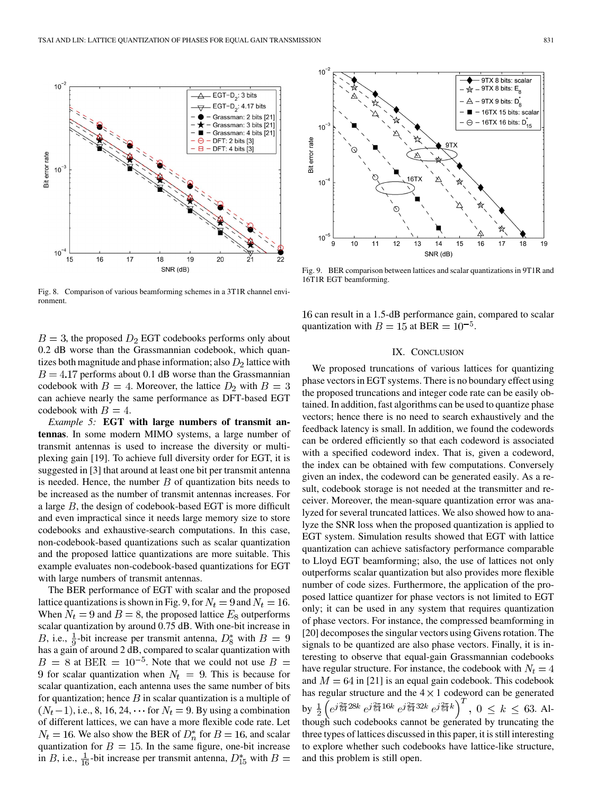![](_page_9_Figure_1.jpeg)

Fig. 8. Comparison of various beamforming schemes in a 3T1R channel environment.

 $B=3$ , the proposed  $D_2$  EGT codebooks performs only about 0.2 dB worse than the Grassmannian codebook, which quantizes both magnitude and phase information; also  $D_2$  lattice with  $B = 4.17$  performs about 0.1 dB worse than the Grassmannian codebook with  $B = 4$ . Moreover, the lattice  $D_2$  with  $B = 3$ can achieve nearly the same performance as DFT-based EGT codebook with  $B = 4$ .

*Example 5:* **EGT with large numbers of transmit antennas**. In some modern MIMO systems, a large number of transmit antennas is used to increase the diversity or multiplexing gain [19]. To achieve full diversity order for EGT, it is suggested in [3] that around at least one bit per transmit antenna is needed. Hence, the number  $B$  of quantization bits needs to be increased as the number of transmit antennas increases. For a large  $B$ , the design of codebook-based EGT is more difficult and even impractical since it needs large memory size to store codebooks and exhaustive-search computations. In this case, non-codebook-based quantizations such as scalar quantization and the proposed lattice quantizations are more suitable. This example evaluates non-codebook-based quantizations for EGT with large numbers of transmit antennas.

The BER performance of EGT with scalar and the proposed lattice quantizations is shown in Fig. 9, for  $N_t = 9$  and  $N_t = 16$ . When  $N_t = 9$  and  $B = 8$ , the proposed lattice  $E_8$  outperforms scalar quantization by around 0.75 dB. With one-bit increase in B, i.e.,  $\frac{1}{9}$ -bit increase per transmit antenna,  $D_8^*$  with  $B = 9$ has a gain of around 2 dB, compared to scalar quantization with  $B = 8$  at BER = 10<sup>-5</sup>. Note that we could not use  $B =$ 9 for scalar quantization when  $N_t = 9$ . This is because for scalar quantization, each antenna uses the same number of bits for quantization; hence  $B$  in scalar quantization is a multiple of  $(N_t-1)$ , i.e., 8, 16, 24,  $\cdots$  for  $N_t = 9$ . By using a combination of different lattices, we can have a more flexible code rate. Let  $N_t = 16$ . We also show the BER of  $D_n^*$  for  $B = 16$ , and scalar quantization for  $B = 15$ . In the same figure, one-bit increase in B, i.e.,  $\frac{1}{16}$ -bit increase per transmit antenna,  $D_{15}^*$  with  $B =$ 

![](_page_9_Figure_6.jpeg)

Fig. 9. BER comparison between lattices and scalar quantizations in 9T1R and 16T1R EGT beamforming.

16 can result in a 1.5-dB performance gain, compared to scalar quantization with  $B = 15$  at BER  $= 10^{-5}$ .

# IX. CONCLUSION

We proposed truncations of various lattices for quantizing phase vectors in EGT systems. There is no boundary effect using the proposed truncations and integer code rate can be easily obtained. In addition, fast algorithms can be used to quantize phase vectors; hence there is no need to search exhaustively and the feedback latency is small. In addition, we found the codewords can be ordered efficiently so that each codeword is associated with a specified codeword index. That is, given a codeword, the index can be obtained with few computations. Conversely given an index, the codeword can be generated easily. As a result, codebook storage is not needed at the transmitter and receiver. Moreover, the mean-square quantization error was analyzed for several truncated lattices. We also showed how to analyze the SNR loss when the proposed quantization is applied to EGT system. Simulation results showed that EGT with lattice quantization can achieve satisfactory performance comparable to Lloyd EGT beamforming; also, the use of lattices not only outperforms scalar quantization but also provides more flexible number of code sizes. Furthermore, the application of the proposed lattice quantizer for phase vectors is not limited to EGT only; it can be used in any system that requires quantization of phase vectors. For instance, the compressed beamforming in [20] decomposes the singular vectors using Givens rotation. The signals to be quantized are also phase vectors. Finally, it is interesting to observe that equal-gain Grassmannian codebooks have regular structure. For instance, the codebook with  $N_t = 4$ and  $M = 64$  in [21] is an equal gain codebook. This codebook has regular structure and the  $4 \times 1$  codeword can be generated by  $\frac{1}{2} \left( e^{j \frac{2\pi}{64} 28k} e^{j \frac{2\pi}{64} 16k} e^{j \frac{2\pi}{64} 32k} e^{j \frac{2\pi}{64}k} \right)^T$ ,  $0 \le k \le 63$ . Although such codebooks cannot be generated by truncating the three types of lattices discussed in this paper, it is still interesting to explore whether such codebooks have lattice-like structure, and this problem is still open.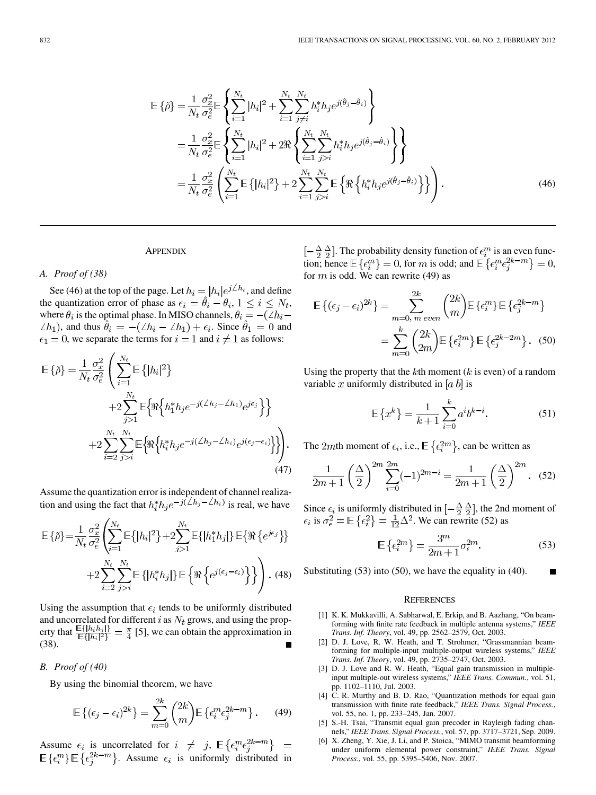$$
\mathbb{E}\left\{\tilde{\rho}\right\} = \frac{1}{N_t} \frac{\sigma_x^2}{\sigma_e^2} \mathbb{E}\left\{\sum_{i=1}^{N_t} |h_i|^2 + \sum_{i=1}^{N_t} \sum_{j \neq i}^{N_t} h_i^* h_j e^{j(\hat{\theta}_j - \hat{\theta}_i)}\right\}
$$
\n
$$
= \frac{1}{N_t} \frac{\sigma_x^2}{\sigma_e^2} \mathbb{E}\left\{\sum_{i=1}^{N_t} |h_i|^2 + 2\Re\left\{\sum_{i=1}^{N_t} \sum_{j>i}^{N_t} h_i^* h_j e^{j(\hat{\theta}_j - \hat{\theta}_i)}\right\}\right\}
$$
\n
$$
= \frac{1}{N_t} \frac{\sigma_x^2}{\sigma_e^2} \left(\sum_{i=1}^{N_t} \mathbb{E}\left\{|h_i|^2\right\} + 2\sum_{i=1}^{N_t} \sum_{j>i}^{N_t} \mathbb{E}\left\{\Re\left\{h_i^* h_j e^{j(\hat{\theta}_j - \hat{\theta}_i)}\right\}\right\}\right). \tag{46}
$$

### APPENDIX

## *A. Proof of (38)*

See (46) at the top of the page. Let  $h_i = |h_i|e^{j \Delta h_i}$ , and define the quantization error of phase as  $\epsilon_i = \theta_i - \theta_i$ ,  $1 \leq i \leq N_t$ , where  $\theta_i$  is the optimal phase. In MISO channels,  $\theta_i = -(\angle h_i \angle h_1$ ), and thus  $\hat{\theta}_i = -(\angle h_i - \angle h_1) + \epsilon_i$ . Since  $\hat{\theta}_1 = 0$  and  $\epsilon_1 = 0$ , we separate the terms for  $i = 1$  and  $i \neq 1$  as follows:

$$
\mathbb{E}\left\{\tilde{\rho}\right\} = \frac{1}{N_t} \frac{\sigma_x^2}{\sigma_e^2} \left( \sum_{i=1}^{N_t} \mathbb{E}\left\{|h_i|^2\right\} + 2 \sum_{j>1}^{N_t} \mathbb{E}\left\{\Re\left\{h_1^*h_j e^{-j(\angle h_j - \angle h_1)} e^{j\epsilon_j}\right\}\right\} + 2 \sum_{i=2}^{N_t} \sum_{j>i}^{N_t} \mathbb{E}\left\{\Re\left\{h_i^*h_j e^{-j(\angle h_j - \angle h_i)} e^{j(\epsilon_j - \epsilon_i)}\right\}\right\}.
$$
\n(47)

Assume the quantization error is independent of channel realization and using the fact that  $h_i^* h_j e^{-j(\angle h_j - \angle h_i)}$  is real, we have

$$
\mathbb{E}\left\{\tilde{\rho}\right\} = \frac{1}{N_t} \frac{\sigma_x^2}{\sigma_e^2} \left\{ \sum_{i=1}^{N_t} \mathbb{E}\left\{|h_i|^2\right\} + 2 \sum_{j>1}^{N_t} \mathbb{E}\{|h_1^*h_j|\} \mathbb{E}\left\{\Re\left\{e^{j\epsilon_j}\right\}\right\} + 2 \sum_{i=2}^{N_t} \sum_{j>i}^{N_t} \mathbb{E}\left\{|h_i^*h_j|\right\} \mathbb{E}\left\{\Re\left\{e^{j(\epsilon_j - \epsilon_i)}\right\}\right\} \right\}.
$$
 (48)

Using the assumption that  $\epsilon_i$  tends to be uniformly distributed and uncorrelated for different i as  $N_t$  grows, and using the property that  $\frac{E\{[h_i, h_j]\}}{E\{[h_i]^2\}} = \frac{\pi}{4}$  [5], we can obtain the approximation in (38).

# *B. Proof of (40)*

By using the binomial theorem, we have

$$
\mathbb{E}\left\{(\epsilon_j - \epsilon_i)^{2k}\right\} = \sum_{m=0}^{2k} \binom{2k}{m} \mathbb{E}\left\{\epsilon_i^m \epsilon_j^{2k-m}\right\}.
$$
 (49)

Assume  $\epsilon_i$  is uncorrelated for  $i \neq j$ ,  $\mathbb{E}\left\{\epsilon_i^m \epsilon_j^{2k-m}\right\}$  =  $E\{\epsilon_i^m\}E\{\epsilon_i^{2k-m}\}\$ . Assume  $\epsilon_i$  is uniformly distributed in

. The probability density function of  $\epsilon_i^m$  is an even function; hence  $\mathbb{E}\left\{\epsilon_i^m\right\}=0$ , for m is odd; and  $\mathbb{E}\left\{\epsilon_i^m\epsilon_i^{2k-m}\right\}=0$ , for  $m$  is odd. We can rewrite (49) as

$$
\mathbb{E}\left\{(\epsilon_j - \epsilon_i)^{2k}\right\} = \sum_{m=0, m \text{ even}}^{2k} {2k \choose m} \mathbb{E}\left\{\epsilon_i^m\right\} \mathbb{E}\left\{\epsilon_j^{2k-m}\right\}
$$

$$
= \sum_{m=0}^k {2k \choose 2m} \mathbb{E}\left\{\epsilon_i^{2m}\right\} \mathbb{E}\left\{\epsilon_j^{2k-2m}\right\}.
$$
 (50)

Using the property that the  $k$ th moment ( $k$  is even) of a random variable x uniformly distributed in [a b] is

$$
\mathbb{E}\left\{x^{k}\right\} = \frac{1}{k+1} \sum_{i=0}^{k} a^{i}b^{k-i}.
$$
 (51)

The 2mth moment of  $\epsilon_i$ , i.e.,  $\mathbb{E}\left\{\epsilon_i^{2m}\right\}$ , can be written as

$$
\frac{1}{2m+1} \left(\frac{\Delta}{2}\right)^{2m} \sum_{i=0}^{2m} (-1)^{2m-i} = \frac{1}{2m+1} \left(\frac{\Delta}{2}\right)^{2m}.
$$
 (52)

Since  $\epsilon_i$  is uniformly distributed in  $\left[-\frac{\Delta}{2},\frac{\Delta}{2}\right]$ , the 2nd moment of is  $\sigma_{\epsilon}^2 = \mathbb{E}\left\{\epsilon_i^2\right\} = \frac{1}{12}\Delta^2$ . We can rewrite (52) as

$$
\mathbb{E}\left\{\epsilon_i^{2m}\right\} = \frac{3^m}{2m+1}\sigma_\epsilon^{2m}.\tag{53}
$$

 $\blacksquare$ 

Substituting (53) into (50), we have the equality in (40).

#### **REFERENCES**

- [1] K. K. Mukkavilli, A. Sabharwal, E. Erkip, and B. Aazhang, "On beamforming with finite rate feedback in multiple antenna systems," *IEEE Trans. Inf. Theory*, vol. 49, pp. 2562–2579, Oct. 2003.
- [2] D. J. Love, R. W. Heath, and T. Strohmer, "Grassmannian beamforming for multiple-input multiple-output wireless systems," *IEEE Trans. Inf. Theory*, vol. 49, pp. 2735–2747, Oct. 2003.
- [3] D. J. Love and R. W. Heath, "Equal gain transmission in multipleinput multiple-out wireless systems," *IEEE Trans. Commun.*, vol. 51, pp. 1102–1110, Jul. 2003.
- [4] C. R. Murthy and B. D. Rao, "Quantization methods for equal gain transmission with finite rate feedback," *IEEE Trans. Signal Process.*, vol. 55, no. 1, pp. 233–245, Jan. 2007.
- [5] S.-H. Tsai, "Transmit equal gain precoder in Rayleigh fading channels," *IEEE Trans. Signal Process.*, vol. 57, pp. 3717–3721, Sep. 2009.
- [6] X. Zheng, Y. Xie, J. Li, and P. Stoica, "MIMO transmit beamforming under uniform elemental power constraint," *IEEE Trans. Signal Process.*, vol. 55, pp. 5395–5406, Nov. 2007.